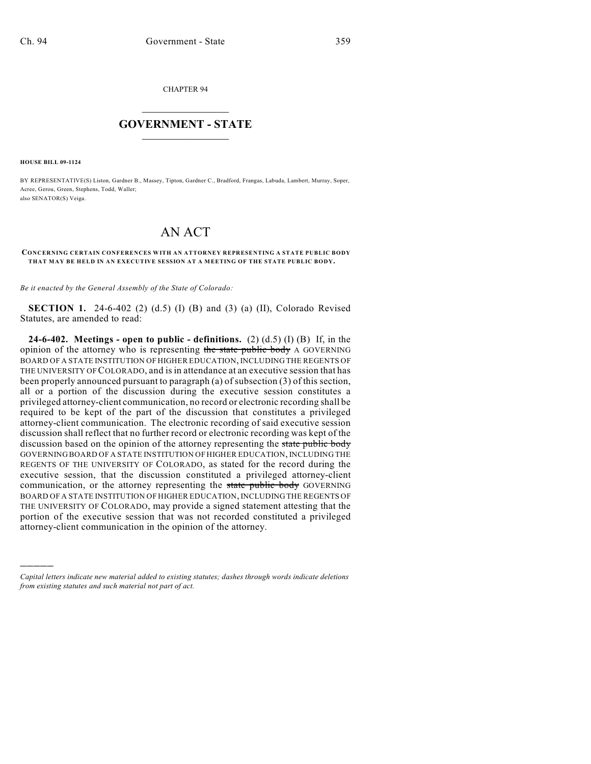CHAPTER 94

## $\mathcal{L}_\text{max}$  . The set of the set of the set of the set of the set of the set of the set of the set of the set of the set of the set of the set of the set of the set of the set of the set of the set of the set of the set **GOVERNMENT - STATE**  $\_$   $\_$   $\_$   $\_$   $\_$   $\_$   $\_$   $\_$

**HOUSE BILL 09-1124**

)))))

BY REPRESENTATIVE(S) Liston, Gardner B., Massey, Tipton, Gardner C., Bradford, Frangas, Labuda, Lambert, Murray, Soper, Acree, Gerou, Green, Stephens, Todd, Waller; also SENATOR(S) Veiga.

## AN ACT

## **CONCERNING CERTAIN CONFERENCES WITH AN ATTORNEY REPRESENTING A STATE PUBLIC BODY THAT MAY BE HELD IN AN EXECUTIVE SESSION AT A MEETING OF THE STATE PUBLIC BODY.**

*Be it enacted by the General Assembly of the State of Colorado:*

**SECTION 1.** 24-6-402 (2) (d.5) (I) (B) and (3) (a) (II), Colorado Revised Statutes, are amended to read:

**24-6-402. Meetings - open to public - definitions.** (2) (d.5) (I) (B) If, in the opinion of the attorney who is representing the state public body A GOVERNING BOARD OF A STATE INSTITUTION OF HIGHER EDUCATION, INCLUDING THE REGENTS OF THE UNIVERSITY OF COLORADO, and is in attendance at an executive session that has been properly announced pursuant to paragraph (a) of subsection (3) of this section, all or a portion of the discussion during the executive session constitutes a privileged attorney-client communication, no record or electronic recording shall be required to be kept of the part of the discussion that constitutes a privileged attorney-client communication. The electronic recording of said executive session discussion shall reflect that no further record or electronic recording was kept of the discussion based on the opinion of the attorney representing the state public body GOVERNING BOARD OF A STATE INSTITUTION OF HIGHER EDUCATION, INCLUDING THE REGENTS OF THE UNIVERSITY OF COLORADO, as stated for the record during the executive session, that the discussion constituted a privileged attorney-client communication, or the attorney representing the state public body GOVERNING BOARD OF A STATE INSTITUTION OF HIGHER EDUCATION, INCLUDING THE REGENTS OF THE UNIVERSITY OF COLORADO, may provide a signed statement attesting that the portion of the executive session that was not recorded constituted a privileged attorney-client communication in the opinion of the attorney.

*Capital letters indicate new material added to existing statutes; dashes through words indicate deletions from existing statutes and such material not part of act.*